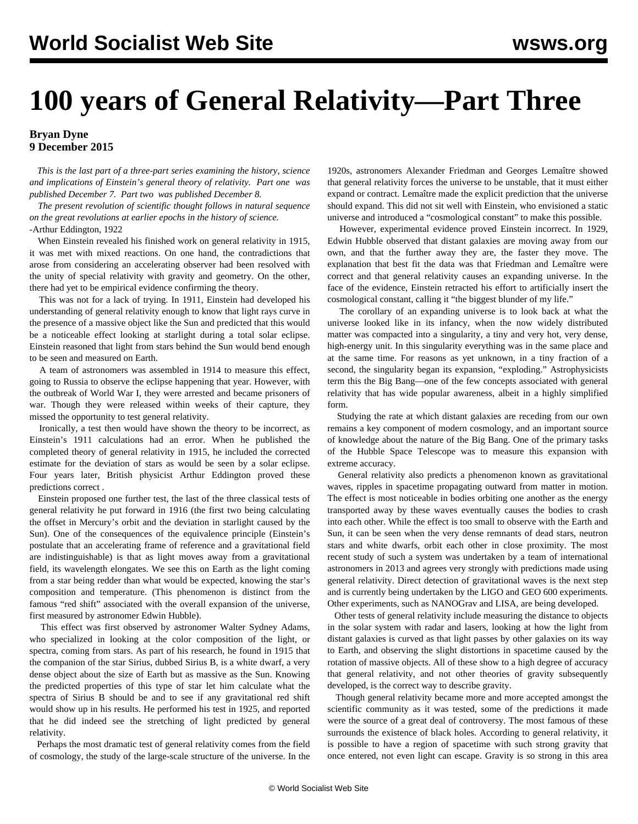## **100 years of General Relativity—Part Three**

## **Bryan Dyne 9 December 2015**

 *This is the last part of a three-part series examining the history, science and implications of Einstein's general theory of relativity. [Part one](/en/articles/2015/12/07/ein1-d07.html) was published December 7. [Part two](/en/articles/2015/12/08/ein2-d08.html) was published December 8.*

 *The present revolution of scientific thought follows in natural sequence on the great revolutions at earlier epochs in the history of science.* -Arthur Eddington, 1922

 When Einstein revealed his finished work on general relativity in 1915, it was met with mixed reactions. On one hand, the contradictions that arose from considering an accelerating observer had been resolved with the unity of special relativity with gravity and geometry. On the other, there had yet to be empirical evidence confirming the theory.

 This was not for a lack of trying. In 1911, Einstein had developed his understanding of general relativity enough to know that light rays curve in the presence of a massive object like the Sun and predicted that this would be a noticeable effect looking at starlight during a total solar eclipse. Einstein reasoned that light from stars behind the Sun would bend enough to be seen and measured on Earth.

 A team of astronomers was assembled in 1914 to measure this effect, going to Russia to observe the eclipse happening that year. However, with the outbreak of World War I, they were arrested and became prisoners of war. Though they were released within weeks of their capture, they missed the opportunity to test general relativity.

 Ironically, a test then would have shown the theory to be incorrect, as Einstein's 1911 calculations had an error. When he published the completed theory of general relativity in 1915, he included the corrected estimate for the deviation of stars as would be seen by a solar eclipse. Four years later, British physicist Arthur Eddington [proved these](/en/articles/2015/12/08/ein2-d08.html) [predictions correct](/en/articles/2015/12/08/ein2-d08.html) .

 Einstein proposed one further test, the last of the three classical tests of general relativity he put forward in 1916 (the first two being calculating the offset in Mercury's orbit and the deviation in starlight caused by the Sun). One of the consequences of the equivalence principle (Einstein's postulate that an accelerating frame of reference and a gravitational field are indistinguishable) is that as light moves away from a gravitational field, its wavelength elongates. We see this on Earth as the light coming from a star being redder than what would be expected, knowing the star's composition and temperature. (This phenomenon is distinct from the famous "red shift" associated with the overall expansion of the universe, first measured by astronomer Edwin Hubble).

 This effect was first observed by astronomer Walter Sydney Adams, who specialized in looking at the color composition of the light, or spectra, coming from stars. As part of his research, he found in 1915 that the companion of the star Sirius, dubbed Sirius B, is a white dwarf, a very dense object about the size of Earth but as massive as the Sun. Knowing the predicted properties of this type of star let him calculate what the spectra of Sirius B should be and to see if any gravitational red shift would show up in his results. He performed his test in 1925, and reported that he did indeed see the stretching of light predicted by general relativity.

 Perhaps the most dramatic test of general relativity comes from the field of cosmology, the study of the large-scale structure of the universe. In the

1920s, astronomers Alexander Friedman and Georges Lemaître showed that general relativity forces the universe to be unstable, that it must either expand or contract. Lemaître made the explicit prediction that the universe should expand. This did not sit well with Einstein, who envisioned a static universe and introduced a "cosmological constant" to make this possible.

 However, experimental evidence proved Einstein incorrect. In 1929, Edwin Hubble observed that distant galaxies are moving away from our own, and that the further away they are, the faster they move. The explanation that best fit the data was that Friedman and Lemaître were correct and that general relativity causes an expanding universe. In the face of the evidence, Einstein retracted his effort to artificially insert the cosmological constant, calling it "the biggest blunder of my life."

 The corollary of an expanding universe is to look back at what the universe looked like in its infancy, when the now widely distributed matter was compacted into a singularity, a tiny and very hot, very dense, high-energy unit. In this singularity everything was in the same place and at the same time. For reasons as yet unknown, in a tiny fraction of a second, the singularity began its expansion, "exploding." Astrophysicists term this the Big Bang—one of the few concepts associated with general relativity that has wide popular awareness, albeit in a highly simplified form.

 Studying the rate at which distant galaxies are receding from our own remains a key component of modern cosmology, and an important source of knowledge about the nature of the Big Bang. One of the primary tasks of the [Hubble Space Telescope](/en/articles/2015/04/24/hubb-a24.html) was to measure this expansion with extreme accuracy.

 General relativity also predicts a phenomenon known as gravitational waves, ripples in spacetime propagating outward from matter in motion. The effect is most noticeable in bodies orbiting one another as the energy transported away by these waves eventually causes the bodies to crash into each other. While the effect is too small to observe with the Earth and Sun, it can be seen when the very dense remnants of dead stars, neutron stars and white dwarfs, orbit each other in close proximity. The most recent study of such a system was undertaken by a team of international astronomers in 2013 and agrees very strongly with predictions made using general relativity. Direct detection of gravitational waves is the next step and is currently being undertaken by the LIGO and GEO 600 experiments. Other experiments, such as NANOGrav and LISA, are being developed.

 Other tests of general relativity include measuring the distance to objects in the solar system with radar and lasers, looking at how the light from distant galaxies is curved as that light passes by other galaxies on its way to Earth, and observing the slight distortions in spacetime caused by the [rotation of massive objects](/en/articles/2011/05/nasa-m13.html). All of these show to a high degree of accuracy that general relativity, and not other theories of gravity subsequently developed, is the correct way to describe gravity.

 Though general relativity became more and more accepted amongst the scientific community as it was tested, some of the predictions it made were the source of a great deal of controversy. The most famous of these surrounds the existence of black holes. According to general relativity, it is possible to have a region of spacetime with such strong gravity that once entered, not even light can escape. Gravity is so strong in this area